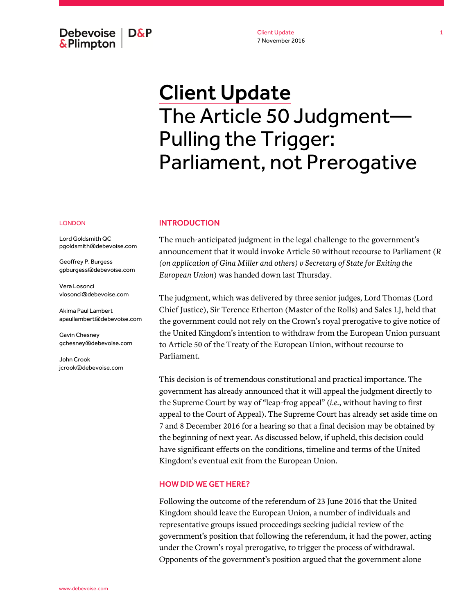Debevoise  $\overline{ }$  D&P **&Plimpton** 

Client Update 7 November 2016

# Client Update The Article 50 Judgment— Pulling the Trigger: Parliament, not Prerogative

#### LONDON

Lord Goldsmith QC pgoldsmith@debevoise.com

Geoffrey P. Burgess gpburgess@debevoise.com

Vera Losonci vlosonci@debevoise.com

Akima Paul Lambert apaullambert@debevoise.com

Gavin Chesney gchesney@debevoise.com

John Crook jcrook@debevoise.com

#### INTRODUCTION

The much-anticipated judgment in the legal challenge to the government's announcement that it would invoke Article 50 without recourse to Parliament (*R (on application of Gina Miller and others) v Secretary of State for Exiting the European Union*) was handed down last Thursday.

The judgment, which was delivered by three senior judges, Lord Thomas (Lord Chief Justice), Sir Terence Etherton (Master of the Rolls) and Sales LJ, held that the government could not rely on the Crown's royal prerogative to give notice of the United Kingdom's intention to withdraw from the European Union pursuant to Article 50 of the Treaty of the European Union, without recourse to Parliament.

This decision is of tremendous constitutional and practical importance. The government has already announced that it will appeal the judgment directly to the Supreme Court by way of "leap-frog appeal" (*i.e.*, without having to first appeal to the Court of Appeal). The Supreme Court has already set aside time on 7 and 8 December 2016 for a hearing so that a final decision may be obtained by the beginning of next year. As discussed below, if upheld, this decision could have significant effects on the conditions, timeline and terms of the United Kingdom's eventual exit from the European Union.

#### HOW DID WE GET HERE?

Following the outcome of the referendum of 23 June 2016 that the United Kingdom should leave the European Union, a number of individuals and representative groups issued proceedings seeking judicial review of the government's position that following the referendum, it had the power, acting under the Crown's royal prerogative, to trigger the process of withdrawal. Opponents of the government's position argued that the government alone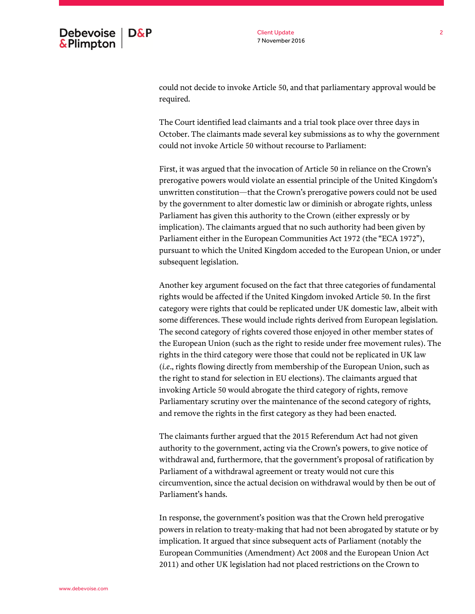could not decide to invoke Article 50, and that parliamentary approval would be required.

The Court identified lead claimants and a trial took place over three days in October. The claimants made several key submissions as to why the government could not invoke Article 50 without recourse to Parliament:

First, it was argued that the invocation of Article 50 in reliance on the Crown's prerogative powers would violate an essential principle of the United Kingdom's unwritten constitution—that the Crown's prerogative powers could not be used by the government to alter domestic law or diminish or abrogate rights, unless Parliament has given this authority to the Crown (either expressly or by implication). The claimants argued that no such authority had been given by Parliament either in the European Communities Act 1972 (the "ECA 1972"), pursuant to which the United Kingdom acceded to the European Union, or under subsequent legislation.

Another key argument focused on the fact that three categories of fundamental rights would be affected if the United Kingdom invoked Article 50. In the first category were rights that could be replicated under UK domestic law, albeit with some differences. These would include rights derived from European legislation. The second category of rights covered those enjoyed in other member states of the European Union (such as the right to reside under free movement rules). The rights in the third category were those that could not be replicated in UK law (*i.e*., rights flowing directly from membership of the European Union, such as the right to stand for selection in EU elections). The claimants argued that invoking Article 50 would abrogate the third category of rights, remove Parliamentary scrutiny over the maintenance of the second category of rights, and remove the rights in the first category as they had been enacted.

The claimants further argued that the 2015 Referendum Act had not given authority to the government, acting via the Crown's powers, to give notice of withdrawal and, furthermore, that the government's proposal of ratification by Parliament of a withdrawal agreement or treaty would not cure this circumvention, since the actual decision on withdrawal would by then be out of Parliament's hands.

In response, the government's position was that the Crown held prerogative powers in relation to treaty-making that had not been abrogated by statute or by implication. It argued that since subsequent acts of Parliament (notably the European Communities (Amendment) Act 2008 and the European Union Act 2011) and other UK legislation had not placed restrictions on the Crown to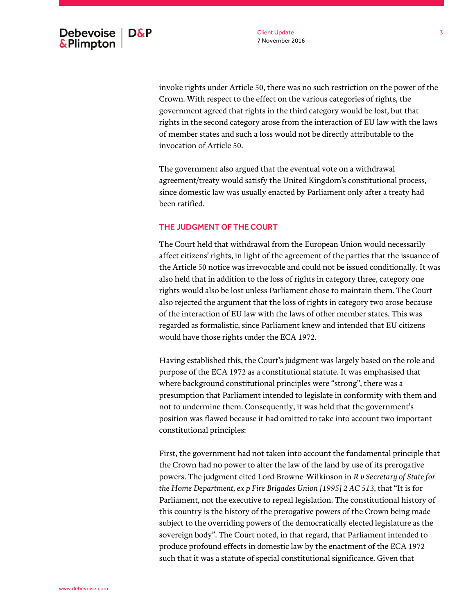invoke rights under Article 50, there was no such restriction on the power of the Crown. With respect to the effect on the various categories of rights, the government agreed that rights in the third category would be lost, but that rights in the second category arose from the interaction of EU law with the laws of member states and such a loss would not be directly attributable to the invocation of Article 50.

The government also argued that the eventual vote on a withdrawal agreement/treaty would satisfy the United Kingdom's constitutional process, since domestic law was usually enacted by Parliament only after a treaty had been ratified.

## THE JUDGMENT OF THE COURT

The Court held that withdrawal from the European Union would necessarily affect citizens' rights, in light of the agreement of the parties that the issuance of the Article 50 notice was irrevocable and could not be issued conditionally. It was also held that in addition to the loss of rights in category three, category one rights would also be lost unless Parliament chose to maintain them. The Court also rejected the argument that the loss of rights in category two arose because of the interaction of EU law with the laws of other member states. This was regarded as formalistic, since Parliament knew and intended that EU citizens would have those rights under the ECA 1972.

Having established this, the Court's judgment was largely based on the role and purpose of the ECA 1972 as a constitutional statute. It was emphasised that where background constitutional principles were "strong", there was a presumption that Parliament intended to legislate in conformity with them and not to undermine them. Consequently, it was held that the government's position was flawed because it had omitted to take into account two important constitutional principles:

First, the government had not taken into account the fundamental principle that the Crown had no power to alter the law of the land by use of its prerogative powers. The judgment cited Lord Browne-Wilkinson in *R v Secretary of State for the Home Department, ex p Fire Brigades Union [1995] 2 AC 513*, that "It is for Parliament, not the executive to repeal legislation. The constitutional history of this country is the history of the prerogative powers of the Crown being made subject to the overriding powers of the democratically elected legislature as the sovereign body". The Court noted, in that regard, that Parliament intended to produce profound effects in domestic law by the enactment of the ECA 1972 such that it was a statute of special constitutional significance. Given that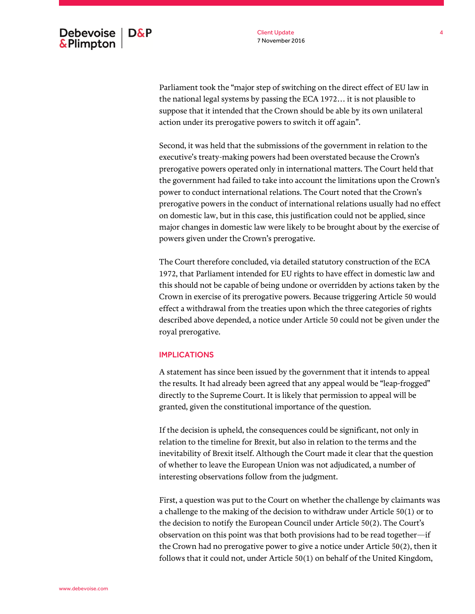Parliament took the "major step of switching on the direct effect of EU law in the national legal systems by passing the ECA 1972… it is not plausible to suppose that it intended that the Crown should be able by its own unilateral action under its prerogative powers to switch it off again".

Second, it was held that the submissions of the government in relation to the executive's treaty-making powers had been overstated because the Crown's prerogative powers operated only in international matters. The Court held that the government had failed to take into account the limitations upon the Crown's power to conduct international relations. The Court noted that the Crown's prerogative powers in the conduct of international relations usually had no effect on domestic law, but in this case, this justification could not be applied, since major changes in domestic law were likely to be brought about by the exercise of powers given under the Crown's prerogative.

The Court therefore concluded, via detailed statutory construction of the ECA 1972, that Parliament intended for EU rights to have effect in domestic law and this should not be capable of being undone or overridden by actions taken by the Crown in exercise of its prerogative powers. Because triggering Article 50 would effect a withdrawal from the treaties upon which the three categories of rights described above depended, a notice under Article 50 could not be given under the royal prerogative.

### IMPLICATIONS

A statement has since been issued by the government that it intends to appeal the results. It had already been agreed that any appeal would be "leap-frogged" directly to the Supreme Court. It is likely that permission to appeal will be granted, given the constitutional importance of the question.

If the decision is upheld, the consequences could be significant, not only in relation to the timeline for Brexit, but also in relation to the terms and the inevitability of Brexit itself. Although the Court made it clear that the question of whether to leave the European Union was not adjudicated, a number of interesting observations follow from the judgment.

First, a question was put to the Court on whether the challenge by claimants was a challenge to the making of the decision to withdraw under Article 50(1) or to the decision to notify the European Council under Article 50(2). The Court's observation on this point was that both provisions had to be read together—if the Crown had no prerogative power to give a notice under Article 50(2), then it follows that it could not, under Article 50(1) on behalf of the United Kingdom,